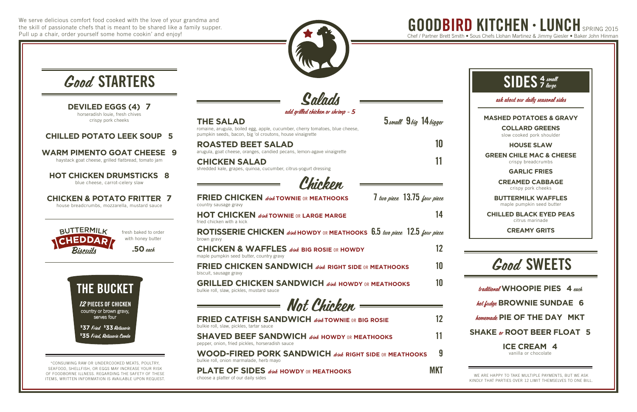We serve delicious comfort food cooked with the love of your grandma and the skill of passionate chefs that is meant to be shared like a family supper. Pull up a chair, order yourself some home cookin' and enjoy!

traditional **WHOOPIE PIES 4** each

#### hot fudge **BROWNIE SUNDAE 6**

homemade **PIE OF THE DAY MKT**

#### **SHAKE** or **ROOT BEER FLOAT 5**

#### **ICE CREAM 4**

vanilla or chocolate

# Good SWEETS

**CHILLED BLACK EYED PEAS** citrus marinade

**CREAMY GRITS**

# GOODBIRD KITCHEN · LUNCH SPRING 2015 Chef / Partner Brett Smith • Sous Chefs Llohan Martinez & Jimmy Giesler • Baker John Hinman



| <b>Good STARTERS</b>                                                                                                             |                                                                                                                                                                                                                                                             |            |
|----------------------------------------------------------------------------------------------------------------------------------|-------------------------------------------------------------------------------------------------------------------------------------------------------------------------------------------------------------------------------------------------------------|------------|
| <b>DEVILED EGGS (4)</b><br>$\sqrt{2}$<br>horseradish louie, fresh chives<br>crispy pork cheeks                                   | Salads<br>add grilled chicken or shrimp - 5<br>5 small 9 big 14 bigger<br><b>THE SALAD</b><br>romaine, arugula, boiled egg, apple, cucumber, cherry tomatoes, blue cheese,                                                                                  |            |
| <b>CHILLED POTATO LEEK SOUP 5</b><br><b>WARM PIMENTO GOAT CHEESE</b><br>9<br>haystack goat cheese, grilled flatbread, tomato jam | pumpkin seeds, bacon, big 'ol croutons, house vinaigrette<br><b>ROASTED BEET SALAD</b><br>arugula, goat cheese, oranges, candied pecans, lemon-agave vinaigrette<br><b>CHICKEN SALAD</b><br>shredded kale, grapes, quinoa, cucumber, citrus-yogurt dressing | 10         |
| <b>HOT CHICKEN DRUMSTICKS</b><br>8<br>blue cheese, carrot-celery slaw                                                            | Chickon                                                                                                                                                                                                                                                     |            |
| <b>CHICKEN &amp; POTATO FRITTER 7</b><br>house breadcrumbs, mozzarella, mustard sauce                                            | $7$ two piece $13.75$ four piece<br><b>FRIED CHICKEN dight TOWNIE OR MEATHOOKS</b><br>country sausage gravy                                                                                                                                                 |            |
|                                                                                                                                  | <b>HOT CHICKEN divine TOWNIE OR LARGE MARGE</b><br>fried chicken with a kick                                                                                                                                                                                | 14         |
| <b>BUTTERMILK</b><br>fresh baked to order<br>with honey butter<br><b>HEDDAR</b>                                                  | ROTISSERIE CHICKEN drink HOWDY OR MEATHOOKS $6.5$ turn piece 12.5 four piece<br>brown gravy                                                                                                                                                                 |            |
| $.50$ each                                                                                                                       | <b>CHICKEN &amp; WAFFLES</b> drink BIG ROSIE OR HOWDY<br>maple pumpkin seed butter, country gravy                                                                                                                                                           | 12         |
|                                                                                                                                  | <b>FRIED CHICKEN SANDWICH dink RIGHT SIDE OR MEATHOOKS</b><br>biscuit, sausage gravy                                                                                                                                                                        | 10         |
| <b>THE BUCKET</b>                                                                                                                | <b>GRILLED CHICKEN SANDWICH dink HOWDY OR MEATHOOKS</b><br>bulkie roll, slaw, pickles, mustard sauce                                                                                                                                                        | 10         |
| <b>12 PIECES OF CHICKEN</b>                                                                                                      | Not Chicken                                                                                                                                                                                                                                                 |            |
| country or brown gravy,<br>serves four<br>\$37 Fried \$33 Rotisserie                                                             | <b>FRIED CATFISH SANDWICH dight TOWNIE OR BIG ROSIE</b><br>bulkie roll, slaw, pickles, tartar sauce                                                                                                                                                         | 12         |
| \$35 Fried, Rotisserie Combo                                                                                                     | <b>SHAVED BEEF SANDWICH dink HOWDY OR MEATHOOKS</b><br>pepper, onion, fried pickles, horseradish sauce                                                                                                                                                      | 11         |
| *CONSUMING RAW OR UNDERCOOKED MEATS, POULTRY,                                                                                    | <b>WOOD-FIRED PORK SANDWICH dight SIDE OR MEATHOOKS</b><br>bulkie roll, onion marmalade, herb mayo                                                                                                                                                          | 9          |
| SEAFOOD, SHELLFISH, OR EGGS MAY INCREASE YOUR RISK<br>OF FOODBORNE ILLNESS. REGARDING THE SAFETY OF THESE                        | <b>PLATE OF SIDES</b> drink HOWDY OR MEATHOOKS                                                                                                                                                                                                              | <b>MKT</b> |

choose a platter of our daily sides

ITEMS, WRITTEN INFORMATION IS AVAILABLE UPON REQUEST.





WE ARE HAPPY TO TAKE MULTIPLE PAYMENTS, BUT WE ASK KINDLY THAT PARTIES OVER 12 LIMIT THEMSELVES TO ONE BILL.